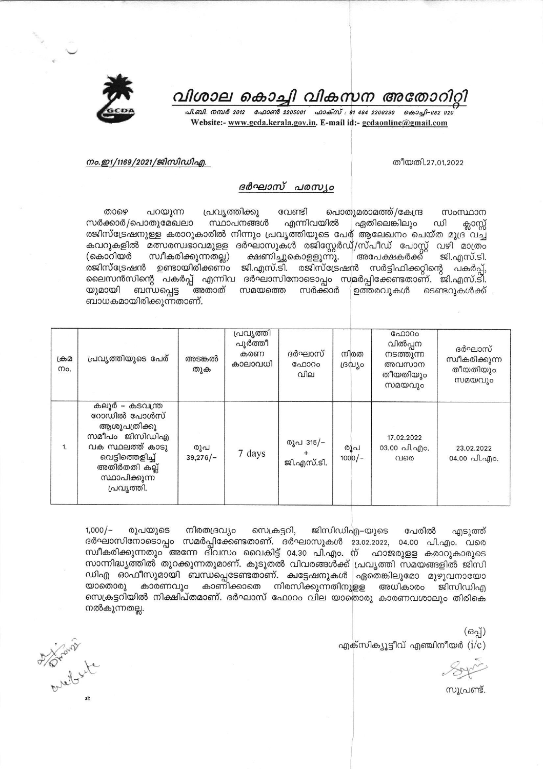വിശാല കൊച്ചി വികസന അതോറിറ്റി

പി.ബി. നമ്പർ 2012 - ഫോൺ 2205061 - ഫാക്സ് : 91 484 2206230 - കൊച്ചി-682 020 Website:- www.gcda.kerala.gov.in. E-mail id:- gcdaonline@gmail.com

## നം.ഇ1/1169/2021/ജിസിഡിഎ.

തീയതി.27.01.2022

## ദർഘാസ് പരസ്യം

താഴെ പറയുന്ന പ്രവൃത്തിക്കു വേണ്ടി പൊതുമരാമത്ത്/കേന്ദ്ര സംസ്ഥാന സർക്കാർ/പൊതുമേഖലാ സ്ഥാപനങ്ങൾ എന്നിവയിൽ ഏതിലെങ്കിലും ഡി ക്ലാസ്സ് രജിസ്ട്രേഷനുള്ള കരാറുകാരിൽ നിന്നും പ്രവൃത്തിയുടെ പേര് ആലേഖനം ചെയ്ത മുദ്ര വച്ച് കവറുകളിൽ മത്സരസ്വഭാവമുളള ദർഘാസുകൾ രജിസ്റ്റേർഡ്/സ്പീഡ് പോസ്റ്റ് വഴി മാത്രം (കൊറിയർ സ്വീകരിക്കുന്നതല്ല) ക്ഷണിച്ചുകൊളളുന്നു. അപേക്ഷകർക്ക് ജി.എസ്.ടി. രജിസ്ട്രേഷൻ ഉണ്ടായിരിക്കണം ജി.എസ്.ടി. രജിസ്ട്രേഷൻ സർട്ടിഫിക്കറ്റിന്റെ പകർപ്പ്, ലൈസൻസിന്റെ പകർപ്പ് എന്നിവ ദർഘാസിനോടൊപ്പം സമർപ്പിക്കേണ്ടതാണ്. ജി.എസ്.ടി. ബന്ധപ്പെട്ട യുമായി അതാത് സമയത്തെ സർക്കാർ ഉത്തരവുകൾ ടെണ്ടറുകൾക്ക് ബാധകമായിരിക്കുന്നതാണ്.

| ക്രമ<br>Mo. | പ്രവൃത്തിയുടെ പേര്                                                                                                                                      | അടങ്കൽ<br>തുക     | പ്രവൃത്തി<br>പൂർത്തീ<br>കരണ<br>കാലാവധി | ദർഘാസ്<br>ഫോറം<br>വില   | നിരത<br>ദ്രവിശ  | ഫോറം<br>വിൽപ്പന<br>നടത്തുന്ന<br>അവസാന<br>തീയതിയും<br>സമയവും | ദർഘാസ്<br>സ്വീകരിക്കുന്ന<br>തീയതിയും<br>സമയവും |
|-------------|---------------------------------------------------------------------------------------------------------------------------------------------------------|-------------------|----------------------------------------|-------------------------|-----------------|-------------------------------------------------------------|------------------------------------------------|
| 1.          | കലൂർ – കടവന്ത്ര<br>റോഡിൽ പോൾസ്<br>ആശുപത്രിക്കു<br>സമീപം ജിസിഡിഎ<br>വക സ്ഥലത്ത് കാടു<br>വെട്ടിത്തെളിച്ച്<br>അതിർതതി കല്ല്<br>സ്ഥാപിക്കുന്ന<br>പ്രവൃത്തി. | രൂപ<br>$39,276/-$ | 7 days                                 | രൂപ 315/–<br>ജി.എസ്.ടി. | രൂപ<br>$1000/-$ | 17.02.2022<br>03.00 പി.എം.<br>വരെ                           | 23.02.2022<br>04.00 പി.എം.                     |

 $1,000/-$ രൂപയുടെ നിരതദ്രവ്യം സെക്രട്ടറി, ജിസിഡിഎ–യുടെ പേരിൽ എടുത്ത് ദർഘാസിനോടൊപ്പം സമർപ്പിക്കേണ്ടതാണ്. ദർഘാസുകൾ 23.02.2022, 04.00 പി.എം. വരെ സ്ഥീകരിക്കുന്നതും അന്നേ ദിവസം വൈകിട്ട് 04.30 പി.എം. ന് ഹാജരുളള കരാറുകാരുടെ സാന്നിദ്ധ്യത്തിൽ തുറക്കുന്നതുമാണ്. കൂടുതൽ വിവരങ്ങൾക്ക് പ്രവൃത്തി സമയങ്ങളിൽ ജിസി ഡിഎ ഓഫീസുമായി ബന്ധപ്പെടേണ്ടതാണ്. ക്വട്ടേഷനുകൾ ഏതെങ്കിലുമോ മുഴുവനായോ കാണിക്കാതെ നിരസിക്കുന്നതിനുളള അധികാരം യാതൊരു കാരണവും ജിസിഡിഎ സെക്രട്ടറിയിൽ നിക്ഷിപ്തമാണ്. ദർഘാസ് ഫോറം വില യാതൊരു കാരണവശാലും തിരികെ നൽകുന്നതല്ല.

 $($ ഒപ്പ്)

എക്സിക്യൂട്ടീവ് എഞ്ചിനീയർ  $(i/c)$ 

സുപ്രണ്ട്.

A prairie